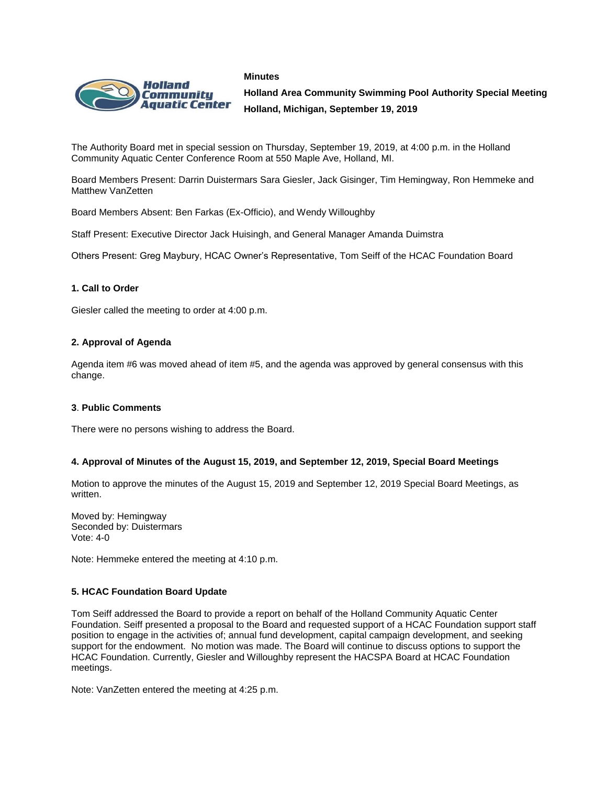



**Holland Area Community Swimming Pool Authority Special Meeting Holland, Michigan, September 19, 2019**

The Authority Board met in special session on Thursday, September 19, 2019, at 4:00 p.m. in the Holland Community Aquatic Center Conference Room at 550 Maple Ave, Holland, MI.

Board Members Present: Darrin Duistermars Sara Giesler, Jack Gisinger, Tim Hemingway, Ron Hemmeke and Matthew VanZetten

Board Members Absent: Ben Farkas (Ex-Officio), and Wendy Willoughby

Staff Present: Executive Director Jack Huisingh, and General Manager Amanda Duimstra

Others Present: Greg Maybury, HCAC Owner's Representative, Tom Seiff of the HCAC Foundation Board

## **1. Call to Order**

Giesler called the meeting to order at 4:00 p.m.

## **2. Approval of Agenda**

Agenda item #6 was moved ahead of item #5, and the agenda was approved by general consensus with this change.

### **3**. **Public Comments**

There were no persons wishing to address the Board.

### **4. Approval of Minutes of the August 15, 2019, and September 12, 2019, Special Board Meetings**

Motion to approve the minutes of the August 15, 2019 and September 12, 2019 Special Board Meetings, as written.

Moved by: Hemingway Seconded by: Duistermars Vote: 4-0

Note: Hemmeke entered the meeting at 4:10 p.m.

### **5. HCAC Foundation Board Update**

Tom Seiff addressed the Board to provide a report on behalf of the Holland Community Aquatic Center Foundation. Seiff presented a proposal to the Board and requested support of a HCAC Foundation support staff position to engage in the activities of; annual fund development, capital campaign development, and seeking support for the endowment. No motion was made. The Board will continue to discuss options to support the HCAC Foundation. Currently, Giesler and Willoughby represent the HACSPA Board at HCAC Foundation meetings.

Note: VanZetten entered the meeting at 4:25 p.m.